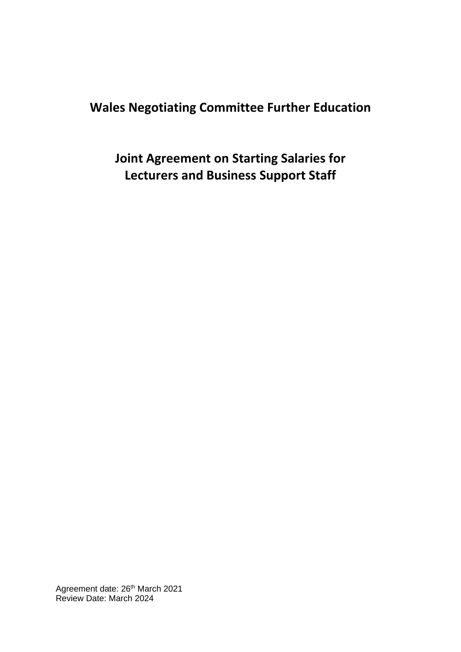## **Wales Negotiating Committee Further Education**

**Joint Agreement on Starting Salaries for Lecturers and Business Support Staff**

Agreement date: 26<sup>th</sup> March 2021 Review Date: March 2024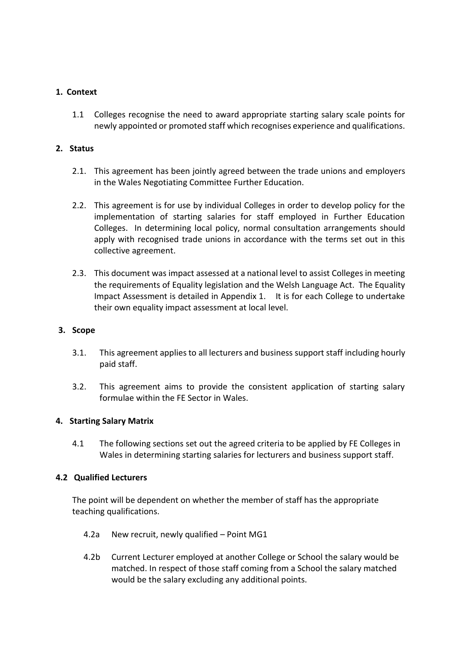#### **1. Context**

1.1 Colleges recognise the need to award appropriate starting salary scale points for newly appointed or promoted staff which recognises experience and qualifications.

#### **2. Status**

- 2.1. This agreement has been jointly agreed between the trade unions and employers in the Wales Negotiating Committee Further Education.
- 2.2. This agreement is for use by individual Colleges in order to develop policy for the implementation of starting salaries for staff employed in Further Education Colleges. In determining local policy, normal consultation arrangements should apply with recognised trade unions in accordance with the terms set out in this collective agreement.
- 2.3. This document was impact assessed at a national level to assist Colleges in meeting the requirements of Equality legislation and the Welsh Language Act. The Equality Impact Assessment is detailed in Appendix 1. It is for each College to undertake their own equality impact assessment at local level.

#### **3. Scope**

- 3.1. This agreement applies to all lecturers and business support staff including hourly paid staff.
- 3.2. This agreement aims to provide the consistent application of starting salary formulae within the FE Sector in Wales.

#### **4. Starting Salary Matrix**

4.1 The following sections set out the agreed criteria to be applied by FE Colleges in Wales in determining starting salaries for lecturers and business support staff.

#### **4.2 Qualified Lecturers**

The point will be dependent on whether the member of staff has the appropriate teaching qualifications.

- 4.2a New recruit, newly qualified Point MG1
- 4.2b Current Lecturer employed at another College or School the salary would be matched. In respect of those staff coming from a School the salary matched would be the salary excluding any additional points.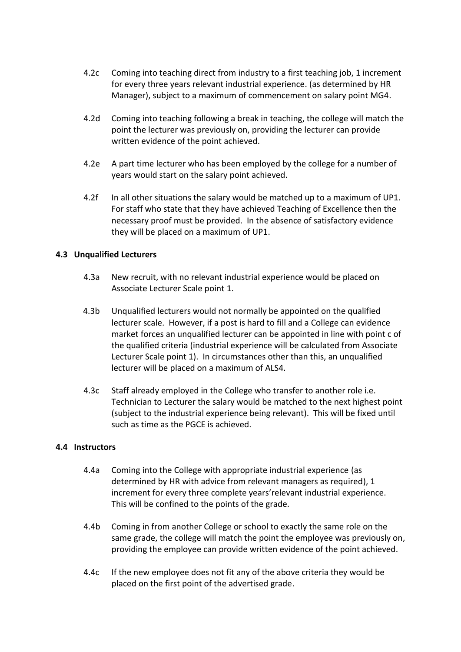- 4.2c Coming into teaching direct from industry to a first teaching job, 1 increment for every three years relevant industrial experience. (as determined by HR Manager), subject to a maximum of commencement on salary point MG4.
- 4.2d Coming into teaching following a break in teaching, the college will match the point the lecturer was previously on, providing the lecturer can provide written evidence of the point achieved.
- 4.2e A part time lecturer who has been employed by the college for a number of years would start on the salary point achieved.
- 4.2f In all other situations the salary would be matched up to a maximum of UP1. For staff who state that they have achieved Teaching of Excellence then the necessary proof must be provided. In the absence of satisfactory evidence they will be placed on a maximum of UP1.

#### **4.3 Unqualified Lecturers**

- 4.3a New recruit, with no relevant industrial experience would be placed on Associate Lecturer Scale point 1.
- 4.3b Unqualified lecturers would not normally be appointed on the qualified lecturer scale. However, if a post is hard to fill and a College can evidence market forces an unqualified lecturer can be appointed in line with point c of the qualified criteria (industrial experience will be calculated from Associate Lecturer Scale point 1). In circumstances other than this, an unqualified lecturer will be placed on a maximum of ALS4.
- 4.3c Staff already employed in the College who transfer to another role i.e. Technician to Lecturer the salary would be matched to the next highest point (subject to the industrial experience being relevant). This will be fixed until such as time as the PGCE is achieved.

#### **4.4 Instructors**

- 4.4a Coming into the College with appropriate industrial experience (as determined by HR with advice from relevant managers as required), 1 increment for every three complete years'relevant industrial experience. This will be confined to the points of the grade.
- 4.4b Coming in from another College or school to exactly the same role on the same grade, the college will match the point the employee was previously on, providing the employee can provide written evidence of the point achieved.
- 4.4c If the new employee does not fit any of the above criteria they would be placed on the first point of the advertised grade.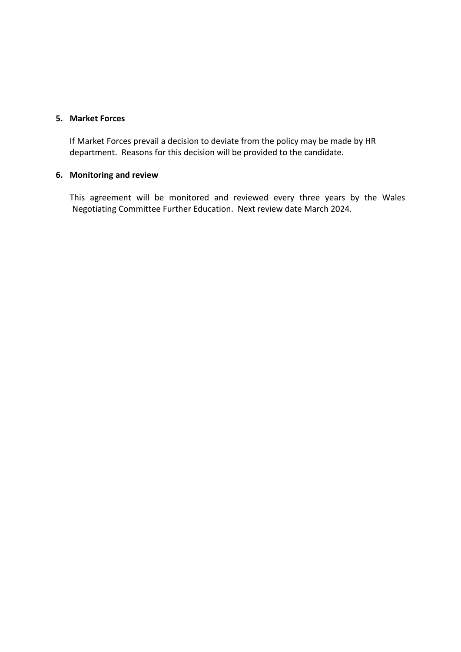#### **5. Market Forces**

If Market Forces prevail a decision to deviate from the policy may be made by HR department. Reasons for this decision will be provided to the candidate.

### **6. Monitoring and review**

This agreement will be monitored and reviewed every three years by the Wales Negotiating Committee Further Education. Next review date March 2024.